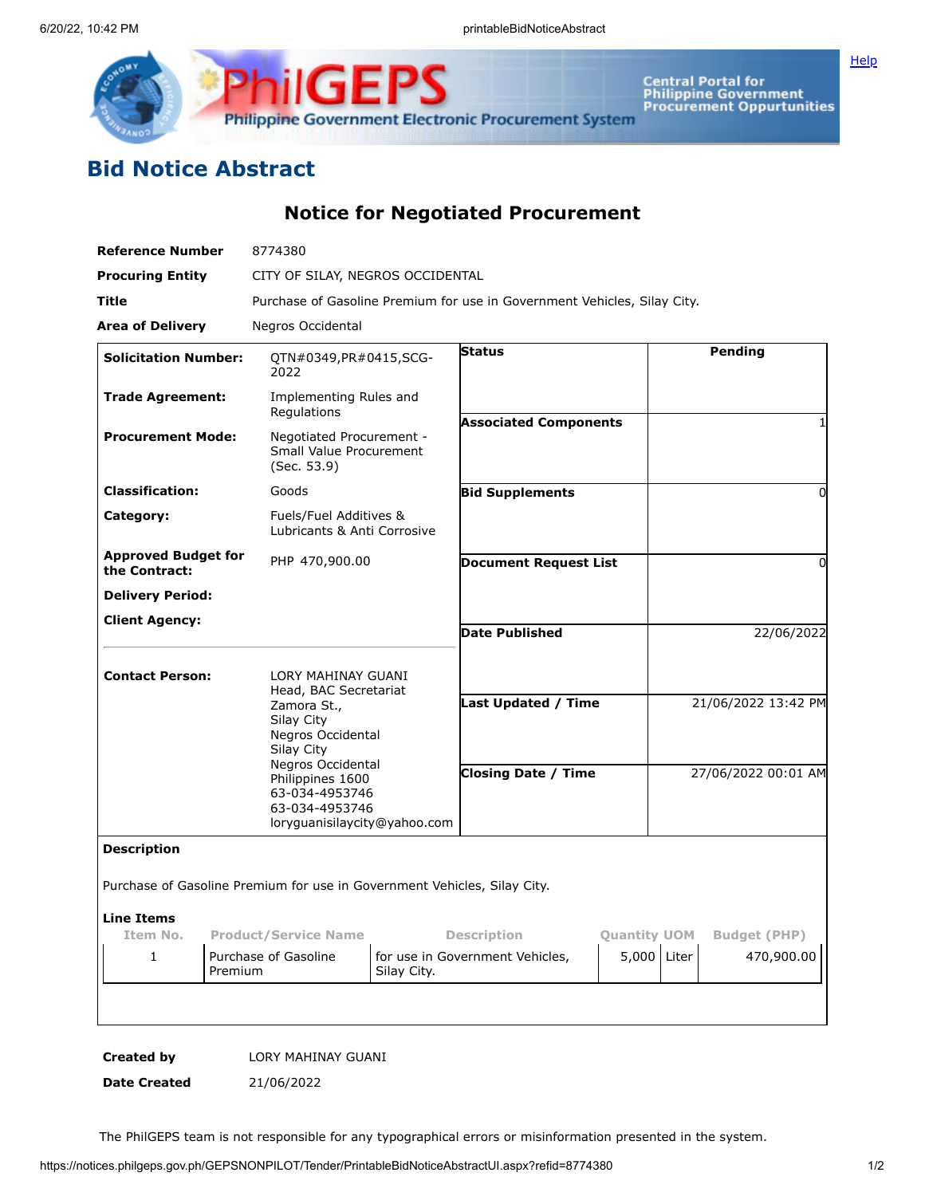

Central Portal for<br>Philippine Government<br>Procurement Oppurtunities

**[Help](javascript:void(window.open()** 

## **Bid Notice Abstract**

**Notice for Negotiated Procurement**

| <b>Reference Number</b>                     | 8774380                                                                                                   |                                                                          |  |                     |  |
|---------------------------------------------|-----------------------------------------------------------------------------------------------------------|--------------------------------------------------------------------------|--|---------------------|--|
| <b>Procuring Entity</b>                     |                                                                                                           | CITY OF SILAY, NEGROS OCCIDENTAL                                         |  |                     |  |
| Title                                       |                                                                                                           | Purchase of Gasoline Premium for use in Government Vehicles, Silay City. |  |                     |  |
| Area of Delivery                            | Negros Occidental                                                                                         |                                                                          |  |                     |  |
| <b>Solicitation Number:</b>                 | QTN#0349, PR#0415, SCG-<br>2022                                                                           | <b>Status</b>                                                            |  | Pending             |  |
| <b>Trade Agreement:</b>                     | Implementing Rules and<br>Regulations                                                                     | <b>Associated Components</b>                                             |  | 1                   |  |
| <b>Procurement Mode:</b>                    | Negotiated Procurement -<br><b>Small Value Procurement</b><br>(Sec. 53.9)                                 |                                                                          |  |                     |  |
| <b>Classification:</b>                      | Goods                                                                                                     | <b>Bid Supplements</b>                                                   |  | 0                   |  |
| Category:                                   | Fuels/Fuel Additives &<br>Lubricants & Anti Corrosive                                                     |                                                                          |  |                     |  |
| <b>Approved Budget for</b><br>the Contract: | PHP 470,900.00                                                                                            | <b>Document Request List</b>                                             |  | 0                   |  |
| <b>Delivery Period:</b>                     |                                                                                                           |                                                                          |  |                     |  |
| <b>Client Agency:</b>                       |                                                                                                           | <b>Date Published</b>                                                    |  | 22/06/2022          |  |
| <b>Contact Person:</b>                      | LORY MAHINAY GUANI<br>Head, BAC Secretariat                                                               |                                                                          |  |                     |  |
|                                             | Zamora St.,<br>Silay City<br>Negros Occidental<br>Silay City                                              | <b>Last Updated / Time</b>                                               |  | 21/06/2022 13:42 PM |  |
|                                             | Negros Occidental<br>Philippines 1600<br>63-034-4953746<br>63-034-4953746<br>loryguanisilaycity@yahoo.com | <b>Closing Date / Time</b>                                               |  | 27/06/2022 00:01 AM |  |
| <b>Description</b>                          |                                                                                                           |                                                                          |  |                     |  |
|                                             |                                                                                                           | Purchase of Gasoline Premium for use in Government Vehicles, Silay City. |  |                     |  |
| <b>Line Items</b>                           |                                                                                                           |                                                                          |  |                     |  |
| Item No.                                    | <b>Product/Service Name</b>                                                                               | <b>Description</b><br><b>Quantity UOM</b><br><b>Budget (PHP)</b>         |  |                     |  |
| 1                                           | Purchase of Gasoline<br>Premium                                                                           | 5,000 Liter<br>for use in Government Vehicles,<br>Silay City.            |  | 470,900.00          |  |
|                                             |                                                                                                           |                                                                          |  |                     |  |
|                                             |                                                                                                           |                                                                          |  |                     |  |

**Created by** LORY MAHINAY GUANI

**Date Created** 21/06/2022

The PhilGEPS team is not responsible for any typographical errors or misinformation presented in the system.